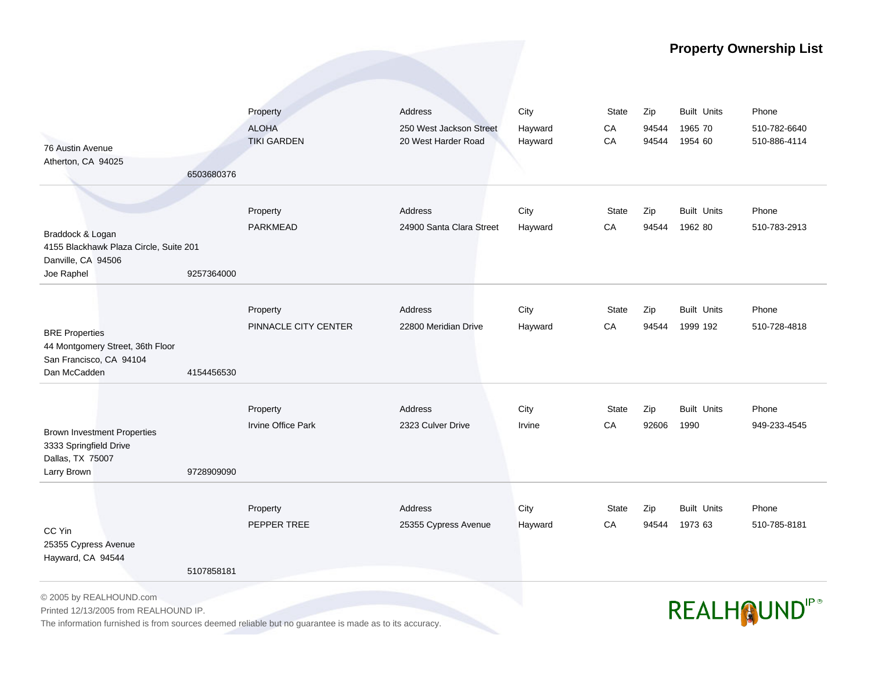## **Property Ownership List**

|                                                                                                        |            | Property                  | Address                  | City    | <b>State</b> | Zip   | <b>Built Units</b> | Phone                           |
|--------------------------------------------------------------------------------------------------------|------------|---------------------------|--------------------------|---------|--------------|-------|--------------------|---------------------------------|
|                                                                                                        |            | <b>ALOHA</b>              | 250 West Jackson Street  | Hayward | ${\sf CA}$   | 94544 | 1965 70            | 510-782-6640                    |
| 76 Austin Avenue                                                                                       |            | <b>TIKI GARDEN</b>        | 20 West Harder Road      | Hayward | CA           | 94544 | 1954 60            | 510-886-4114                    |
| Atherton, CA 94025                                                                                     |            |                           |                          |         |              |       |                    |                                 |
|                                                                                                        | 6503680376 |                           |                          |         |              |       |                    |                                 |
|                                                                                                        |            |                           |                          |         |              |       |                    |                                 |
|                                                                                                        |            | Property                  | <b>Address</b>           | City    | State        | Zip   | <b>Built Units</b> | Phone                           |
|                                                                                                        |            | <b>PARKMEAD</b>           | 24900 Santa Clara Street | Hayward | CA           | 94544 | 1962 80            | 510-783-2913                    |
| Braddock & Logan                                                                                       |            |                           |                          |         |              |       |                    |                                 |
| 4155 Blackhawk Plaza Circle, Suite 201                                                                 |            |                           |                          |         |              |       |                    |                                 |
| Danville, CA 94506                                                                                     |            |                           |                          |         |              |       |                    |                                 |
| Joe Raphel                                                                                             | 9257364000 |                           |                          |         |              |       |                    |                                 |
|                                                                                                        |            |                           |                          |         |              |       |                    |                                 |
|                                                                                                        |            | Property                  | <b>Address</b>           | City    | <b>State</b> | Zip   | <b>Built Units</b> | Phone                           |
| <b>BRE Properties</b>                                                                                  |            | PINNACLE CITY CENTER      | 22800 Meridian Drive     | Hayward | ${\sf CA}$   | 94544 | 1999 192           | 510-728-4818                    |
| 44 Montgomery Street, 36th Floor                                                                       |            |                           |                          |         |              |       |                    |                                 |
| San Francisco, CA 94104                                                                                |            |                           |                          |         |              |       |                    |                                 |
| Dan McCadden                                                                                           | 4154456530 |                           |                          |         |              |       |                    |                                 |
|                                                                                                        |            |                           |                          |         |              |       |                    |                                 |
|                                                                                                        |            | Property                  | <b>Address</b>           | City    | <b>State</b> | Zip   | <b>Built Units</b> | Phone                           |
|                                                                                                        |            | <b>Irvine Office Park</b> | 2323 Culver Drive        | Irvine  | CA           | 92606 | 1990               | 949-233-4545                    |
| <b>Brown Investment Properties</b><br>3333 Springfield Drive                                           |            |                           |                          |         |              |       |                    |                                 |
| Dallas, TX 75007                                                                                       |            |                           |                          |         |              |       |                    |                                 |
| Larry Brown                                                                                            | 9728909090 |                           |                          |         |              |       |                    |                                 |
|                                                                                                        |            |                           |                          |         |              |       |                    |                                 |
|                                                                                                        |            | Property                  | Address                  | City    | <b>State</b> | Zip   | <b>Built Units</b> | Phone                           |
|                                                                                                        |            | PEPPER TREE               | 25355 Cypress Avenue     | Hayward | CA           | 94544 | 1973 63            | 510-785-8181                    |
| CC Yin                                                                                                 |            |                           |                          |         |              |       |                    |                                 |
| 25355 Cypress Avenue                                                                                   |            |                           |                          |         |              |       |                    |                                 |
| Hayward, CA 94544                                                                                      |            |                           |                          |         |              |       |                    |                                 |
|                                                                                                        | 5107858181 |                           |                          |         |              |       |                    |                                 |
| © 2005 by REALHOUND.com                                                                                |            |                           |                          |         |              |       |                    |                                 |
| Printed 12/13/2005 from REALHOUND IP.                                                                  |            |                           |                          |         |              |       |                    | <b>REALHOUND</b> <sup>IP®</sup> |
| The information furnished is from sources deemed reliable but no guarantee is made as to its accuracy. |            |                           |                          |         |              |       |                    |                                 |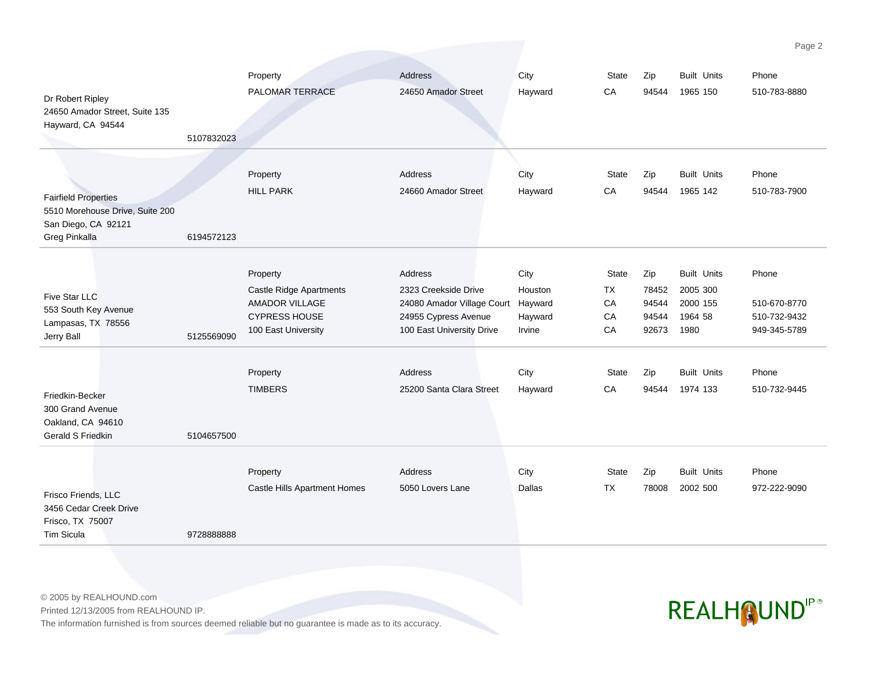| Dr Robert Ripley<br>24650 Amador Street, Suite 135<br>Hayward, CA 94544                                | 5107832023 | Property<br>PALOMAR TERRACE                                                                                 | Address<br>24650 Amador Street                                                                                             | City<br>Hayward                      | <b>State</b><br>CA            | Zip<br>94544                            | <b>Built Units</b><br>1965 150                                | Phone<br>510-783-8880                                 |
|--------------------------------------------------------------------------------------------------------|------------|-------------------------------------------------------------------------------------------------------------|----------------------------------------------------------------------------------------------------------------------------|--------------------------------------|-------------------------------|-----------------------------------------|---------------------------------------------------------------|-------------------------------------------------------|
| <b>Fairfield Properties</b><br>5510 Morehouse Drive, Suite 200<br>San Diego, CA 92121<br>Greg Pinkalla | 6194572123 | Property<br><b>HILL PARK</b>                                                                                | Address<br>24660 Amador Street                                                                                             | City<br>Hayward                      | <b>State</b><br>CA            | Zip<br>94544                            | <b>Built Units</b><br>1965 142                                | Phone<br>510-783-7900                                 |
| Five Star LLC<br>553 South Key Avenue<br>Lampasas, TX 78556<br>Jerry Ball                              | 5125569090 | Property<br>Castle Ridge Apartments<br><b>AMADOR VILLAGE</b><br><b>CYPRESS HOUSE</b><br>100 East University | Address<br>2323 Creekside Drive<br>24080 Amador Village Court Hayward<br>24955 Cypress Avenue<br>100 East University Drive | City<br>Houston<br>Hayward<br>Irvine | State<br>TX<br>CA<br>CA<br>CA | Zip<br>78452<br>94544<br>94544<br>92673 | <b>Built Units</b><br>2005 300<br>2000 155<br>1964 58<br>1980 | Phone<br>510-670-8770<br>510-732-9432<br>949-345-5789 |
| Friedkin-Becker<br>300 Grand Avenue<br>Oakland, CA 94610<br>Gerald S Friedkin                          | 5104657500 | Property<br><b>TIMBERS</b>                                                                                  | Address<br>25200 Santa Clara Street                                                                                        | City<br>Hayward                      | <b>State</b><br>CA            | Zip<br>94544                            | <b>Built Units</b><br>1974 133                                | Phone<br>510-732-9445                                 |
| Frisco Friends, LLC<br>3456 Cedar Creek Drive<br>Frisco, TX 75007<br><b>Tim Sicula</b>                 | 9728888888 | Property<br>Castle Hills Apartment Homes                                                                    | Address<br>5050 Lovers Lane                                                                                                | City<br>Dallas                       | <b>State</b><br>TX            | Zip<br>78008                            | <b>Built Units</b><br>2002 500                                | Phone<br>972-222-9090                                 |

© 2005 by REALHOUND.com

Printed 12/13/2005 from REALHOUND IP.

The information furnished is from sources deemed reliable but no guarantee is made as to its accuracy.